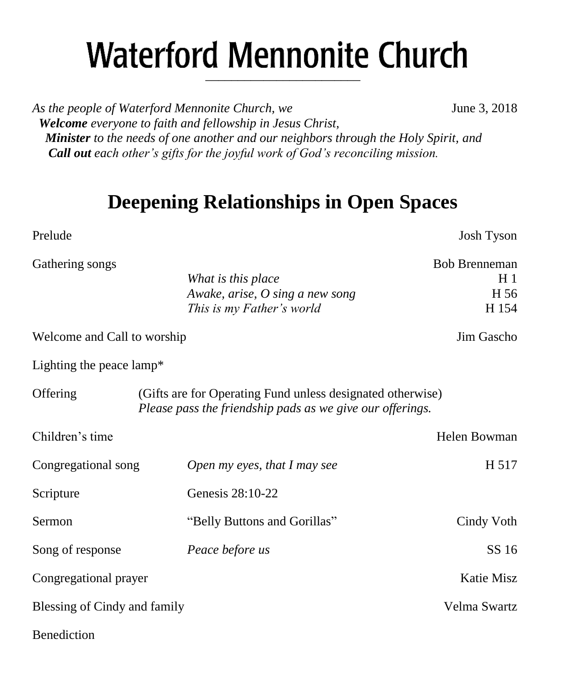# **Waterford Mennonite Church** \_\_\_\_\_\_\_\_\_\_\_\_\_\_\_\_\_\_\_\_\_\_\_\_

As the people of Waterford Mennonite Church, we **June 3, 2018**  *Welcome everyone to faith and fellowship in Jesus Christ, Minister to the needs of one another and our neighbors through the Holy Spirit, and Call out each other's gifts for the joyful work of God's reconciling mission.*

## **Deepening Relationships in Open Spaces**

*Awake, arise, O sing a new song* H 56 *This is my Father's world* H 154 Welcome and Call to worship  $\blacksquare$  Jim Gascho Lighting the peace lamp\* Offering (Gifts are for Operating Fund unless designated otherwise) *Please pass the friendship pads as we give our offerings.* Children's time **Helen Bowman** Congregational song *Open my eyes, that I may see* H 517 Scripture Genesis 28:10-22 Sermon "Belly Buttons and Gorillas" Cindy Voth Song of response *Peace before us* SS 16 **Congregational prayer Katie Misz** Katie Misz

Blessing of Cindy and family **Strategies** Swartz **Velma Swartz** Velma Swartz

**Benediction** 

Prelude Josh Tyson

*What is this place* H 1

Gathering songs Gathering songs and the set of the set of the set of the set of the set of the set of the set of the set of the set of the set of the set of the set of the set of the set of the set of the set of the set of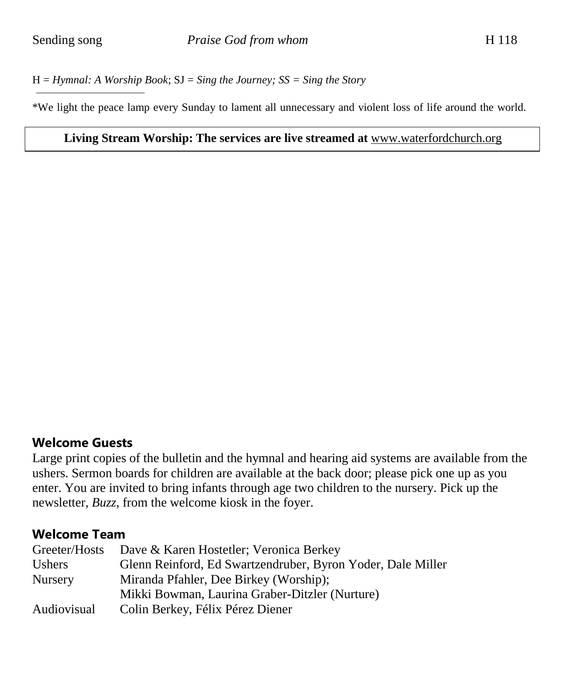H = *Hymnal: A Worship Book*; SJ = *Sing the Journey; SS = Sing the Story*

\*We light the peace lamp every Sunday to lament all unnecessary and violent loss of life around the world.

#### **Living Stream Worship: The services are live streamed at** [www.waterfordchurch.org](http://www.waterfordchurch.org/)

#### **Welcome Guests**

Large print copies of the bulletin and the hymnal and hearing aid systems are available from the ushers. Sermon boards for children are available at the back door; please pick one up as you enter. You are invited to bring infants through age two children to the nursery. Pick up the newsletter, *Buzz,* from the welcome kiosk in the foyer.

## **Welcome Team**

| Greeter/Hosts      | Dave & Karen Hostetler; Veronica Berkey                     |
|--------------------|-------------------------------------------------------------|
| <b>Ushers</b>      | Glenn Reinford, Ed Swartzendruber, Byron Yoder, Dale Miller |
| <b>Nursery</b>     | Miranda Pfahler, Dee Birkey (Worship);                      |
|                    | Mikki Bowman, Laurina Graber-Ditzler (Nurture)              |
| <b>Audiovisual</b> | Colin Berkey, Félix Pérez Diener                            |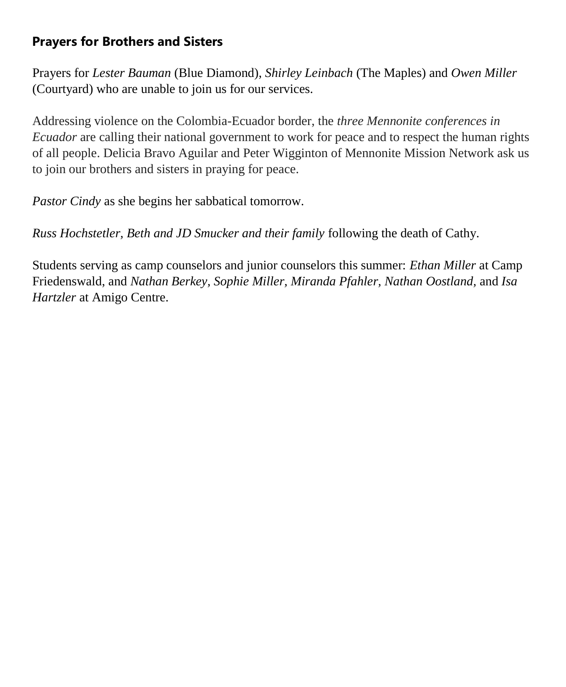## **Prayers for Brothers and Sisters**

Prayers for *Lester Bauman* (Blue Diamond), *Shirley Leinbach* (The Maples) and *Owen Miller* (Courtyard) who are unable to join us for our services.

Addressing violence on the Colombia-Ecuador border, the *three Mennonite conferences in Ecuador* are calling their national government to work for peace and to respect the human rights of all people. Delicia Bravo Aguilar and Peter Wigginton of Mennonite Mission Network ask us to join our brothers and sisters in praying for peace.

*Pastor Cindy* as she begins her sabbatical tomorrow.

*Russ Hochstetler, Beth and JD Smucker and their family* following the death of Cathy.

Students serving as camp counselors and junior counselors this summer: *Ethan Miller* at Camp Friedenswald, and *Nathan Berkey, Sophie Miller, Miranda Pfahler, Nathan Oostland,* and *Isa Hartzler* at Amigo Centre.